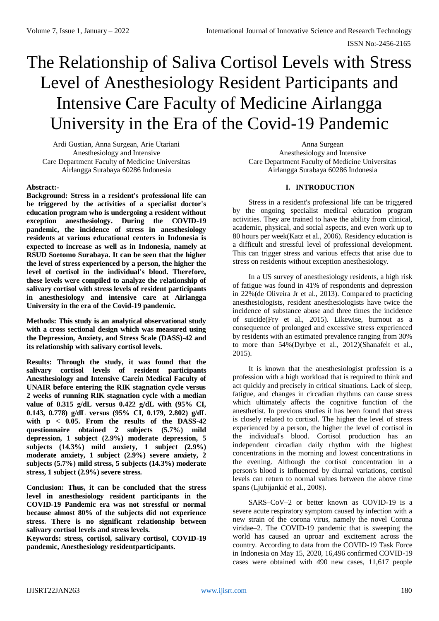# The Relationship of Saliva Cortisol Levels with Stress Level of Anesthesiology Resident Participants and Intensive Care Faculty of Medicine Airlangga University in the Era of the Covid-19 Pandemic

Ardi Gustian, Anna Surgean, Arie Utariani Anesthesiology and Intensive Care Department Faculty of Medicine Universitas Airlangga Surabaya 60286 Indonesia

### **Abstract:-**

**Background: Stress in a resident's professional life can be triggered by the activities of a specialist doctor's education program who is undergoing a resident without exception anesthesiology. During the COVID-19 pandemic, the incidence of stress in anesthesiology residents at various educational centers in Indonesia is expected to increase as well as in Indonesia, namely at RSUD Soetomo Surabaya. It can be seen that the higher the level of stress experienced by a person, the higher the level of cortisol in the individual's blood. Therefore, these levels were compiled to analyze the relationship of salivary cortisol with stress levels of resident participants in anesthesiology and intensive care at Airlangga University in the era of the Covid-19 pandemic.**

**Methods: This study is an analytical observational study with a cross sectional design which was measured using the Depression, Anxiety, and Stress Scale (DASS)-42 and its relationship with salivary cortisol levels.**

**Results: Through the study, it was found that the salivary cortisol levels of resident participants Anesthesiology and Intensive Carein Medical Faculty of UNAIR before entering the RIK stagnation cycle versus 2 weeks of running RIK stagnation cycle with a median value of 0.315 g/dL versus 0.422 g/dL with (95% CI, 0.143, 0.778) g/dL versus (95% CI, 0.179, 2.802) g/dL with p < 0.05. From the results of the DASS-42 questionnaire obtained 2 subjects (5.7%) mild depression, 1 subject (2.9%) moderate depression, 5 subjects (14.3%) mild anxiety, 1 subject (2.9%) moderate anxiety, 1 subject (2.9%) severe anxiety, 2 subjects (5.7%) mild stress, 5 subjects (14.3%) moderate stress, 1 subject (2.9%) severe stress.** 

**Conclusion: Thus, it can be concluded that the stress level in anesthesiology resident participants in the COVID-19 Pandemic era was not stressful or normal because almost 80% of the subjects did not experience stress. There is no significant relationship between salivary cortisol levels and stress levels.**

**Keywords: stress, cortisol, salivary cortisol, COVID-19 pandemic, Anesthesiology residentparticipants.**

Anna Surgean Anesthesiology and Intensive Care Department Faculty of Medicine Universitas Airlangga Surabaya 60286 Indonesia

### **I. INTRODUCTION**

Stress in a resident's professional life can be triggered by the ongoing specialist medical education program activities. They are trained to have the ability from clinical, academic, physical, and social aspects, and even work up to 80 hours per week(Katz et al., 2006). Residency education is a difficult and stressful level of professional development. This can trigger stress and various effects that arise due to stress on residents without exception anesthesiology.

In a US survey of anesthesiology residents, a high risk of fatigue was found in 41% of respondents and depression in 22%(de Oliveira Jr et al., 2013). Compared to practicing anesthesiologists, resident anesthesiologists have twice the incidence of substance abuse and three times the incidence of suicide(Fry et al., 2015). Likewise, burnout as a consequence of prolonged and excessive stress experienced by residents with an estimated prevalence ranging from 30% to more than 54%(Dyrbye et al., 2012)(Shanafelt et al., 2015).

It is known that the anesthesiologist profession is a profession with a high workload that is required to think and act quickly and precisely in critical situations. Lack of sleep, fatigue, and changes in circadian rhythms can cause stress which ultimately affects the cognitive function of the anesthetist. In previous studies it has been found that stress is closely related to cortisol. The higher the level of stress experienced by a person, the higher the level of cortisol in the individual's blood. Cortisol production has an independent circadian daily rhythm with the highest concentrations in the morning and lowest concentrations in the evening. Although the cortisol concentration in a person's blood is influenced by diurnal variations, cortisol levels can return to normal values between the above time spans (Ljubijankić et al., 2008).

SARS–CoV–2 or better known as COVID-19 is a severe acute respiratory symptom caused by infection with a new strain of the corona virus, namely the novel Corona viridae–2. The COVID-19 pandemic that is sweeping the world has caused an uproar and excitement across the country. According to data from the COVID-19 Task Force in Indonesia on May 15, 2020, 16,496 confirmed COVID-19 cases were obtained with 490 new cases, 11,617 people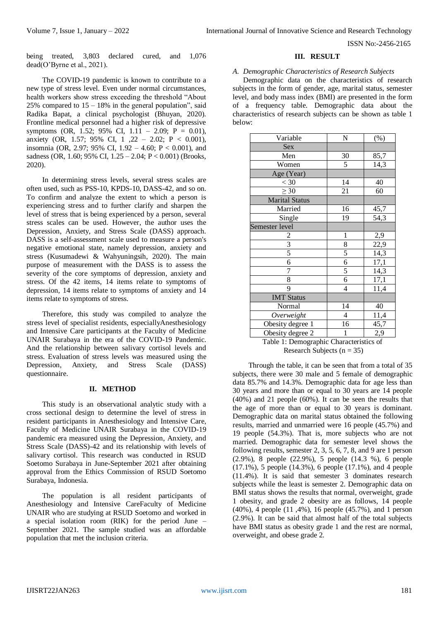being treated, 3,803 declared cured, and 1,076 dead(O'Byrne et al., 2021).

The COVID-19 pandemic is known to contribute to a new type of stress level. Even under normal circumstances, health workers show stress exceeding the threshold "About 25% compared to  $15 - 18%$  in the general population", said Radika Bapat, a clinical psychologist (Bhuyan, 2020). Frontline medical personnel had a higher risk of depressive symptoms (OR, 1.52; 95% CI,  $1.11 - 2.09$ ; P = 0.01), anxiety (OR, 1.57; 95% CI, 1 ,22 – 2.02; P < 0.001), insomnia (OR, 2.97; 95% CI, 1.92 – 4.60; P < 0.001), and sadness (OR, 1.60; 95% CI, 1.25 – 2.04; P < 0.001) (Brooks, 2020).

In determining stress levels, several stress scales are often used, such as PSS-10, KPDS-10, DASS-42, and so on. To confirm and analyze the extent to which a person is experiencing stress and to further clarify and sharpen the level of stress that is being experienced by a person, several stress scales can be used. However, the author uses the Depression, Anxiety, and Stress Scale (DASS) approach. DASS is a self-assessment scale used to measure a person's negative emotional state, namely depression, anxiety and stress (Kusumadewi & Wahyuningsih, 2020). The main purpose of measurement with the DASS is to assess the severity of the core symptoms of depression, anxiety and stress. Of the 42 items, 14 items relate to symptoms of depression, 14 items relate to symptoms of anxiety and 14 items relate to symptoms of stress.

Therefore, this study was compiled to analyze the stress level of specialist residents, especiallyAnesthesiology and Intensive Care participants at the Faculty of Medicine UNAIR Surabaya in the era of the COVID-19 Pandemic. And the relationship between salivary cortisol levels and stress. Evaluation of stress levels was measured using the Depression, Anxiety, and Stress Scale (DASS) questionnaire.

#### **II. METHOD**

This study is an observational analytic study with a cross sectional design to determine the level of stress in resident participants in Anesthesiology and Intensive Care, Faculty of Medicine UNAIR Surabaya in the COVID-19 pandemic era measured using the Depression, Anxiety, and Stress Scale (DASS)-42 and its relationship with levels of salivary cortisol. This research was conducted in RSUD Soetomo Surabaya in June-September 2021 after obtaining approval from the Ethics Commission of RSUD Soetomo Surabaya, Indonesia.

The population is all resident participants of Anesthesiology and Intensive CareFaculty of Medicine UNAIR who are studying at RSUD Soetomo and worked in a special isolation room (RIK) for the period June – September 2021. The sample studied was an affordable population that met the inclusion criteria.

#### **III. RESULT**

#### *A. Demographic Characteristics of Research Subjects*

Demographic data on the characteristics of research subjects in the form of gender, age, marital status, semester level, and body mass index (BMI) are presented in the form of a frequency table. Demographic data about the characteristics of research subjects can be shown as table 1 below:

| Variable              | N              | $(\%)$ |
|-----------------------|----------------|--------|
| Sex                   |                |        |
| Men                   | 30             | 85,7   |
| Women                 | 5              | 14,3   |
| Age (Year)            |                |        |
| $<$ 30                | 14             | 40     |
| $\geq 30$             | 21             | 60     |
| <b>Marital Status</b> |                |        |
| Married               | 16             | 45,7   |
| Single                | 19             | 54,3   |
| Semester level        |                |        |
|                       | $\mathbf{1}$   | 2,9    |
| $rac{2}{3}$           | 8              | 22,9   |
| 5                     | 5              | 14,3   |
| 6                     | $\overline{6}$ | 17,1   |
| 7                     | $\overline{5}$ | 14,3   |
| 8                     | 6              | 17,1   |
| 9                     | 4              | 11,4   |
| <b>IMT Status</b>     |                |        |
| Normal                | 14             | 40     |
| Overweight            | $\overline{4}$ | 11,4   |
| Obesity degree 1      | 16             | 45,7   |
| Obesity degree 2      | 1              | 2,9    |

Table 1: Demographic Characteristics of Research Subjects ( $n = 35$ )

Through the table, it can be seen that from a total of 35 subjects, there were 30 male and 5 female of demographic data 85.7% and 14.3%. Demographic data for age less than 30 years and more than or equal to 30 years are 14 people (40%) and 21 people (60%). It can be seen the results that the age of more than or equal to 30 years is dominant. Demographic data on marital status obtained the following results, married and unmarried were 16 people (45.7%) and 19 people (54.3%). That is, more subjects who are not married. Demographic data for semester level shows the following results, semester 2, 3, 5, 6, 7, 8, and 9 are 1 person (2.9%), 8 people (22.9%), 5 people (14.3 %), 6 people (17.1%), 5 people (14.3%), 6 people (17.1%), and 4 people (11.4%). It is said that semester 3 dominates research subjects while the least is semester 2. Demographic data on BMI status shows the results that normal, overweight, grade 1 obesity, and grade 2 obesity are as follows, 14 people (40%), 4 people (11 ,4%), 16 people (45.7%), and 1 person (2.9%). It can be said that almost half of the total subjects have BMI status as obesity grade 1 and the rest are normal, overweight, and obese grade 2.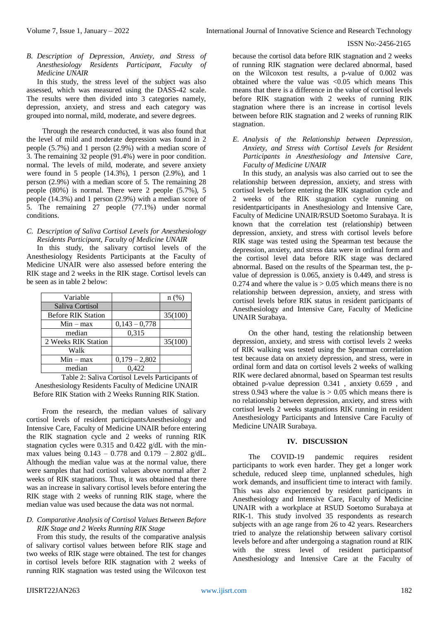*B. Description of Depression, Anxiety, and Stress of Anesthesiology Residents Participant, Faculty of Medicine UNAIR*

In this study, the stress level of the subject was also assessed, which was measured using the DASS-42 scale. The results were then divided into 3 categories namely, depression, anxiety, and stress and each category was grouped into normal, mild, moderate, and severe degrees.

Through the research conducted, it was also found that the level of mild and moderate depression was found in 2 people (5.7%) and 1 person (2.9%) with a median score of 3. The remaining 32 people (91.4%) were in poor condition. normal. The levels of mild, moderate, and severe anxiety were found in 5 people  $(14.3\%)$ , 1 person  $(2.9\%)$ , and 1 person (2.9%) with a median score of 5. The remaining 28 people (80%) is normal. There were 2 people (5.7%), 5 people (14.3%) and 1 person (2.9%) with a median score of 5. The remaining 27 people (77.1%) under normal conditions.

# *C. Description of Saliva Cortisol Levels for Anesthesiology Residents Participant, Faculty of Medicine UNAIR*

In this study, the salivary cortisol levels of the Anesthesiology Residents Participants at the Faculty of Medicine UNAIR were also assessed before entering the RIK stage and 2 weeks in the RIK stage. Cortisol levels can be seen as in table 2 below:

| Variable                  |                 | $n$ (%) |
|---------------------------|-----------------|---------|
| Saliva Cortisol           |                 |         |
| <b>Before RIK Station</b> |                 | 35(100) |
| $Min - max$               | $0,143 - 0,778$ |         |
| median                    | 0,315           |         |
| 2 Weeks RIK Station       |                 | 35(100) |
| Walk                      |                 |         |
| $Min - max$               | $0,179 - 2,802$ |         |
| median                    | 0.422           |         |

Table 2: Saliva Cortisol Levels Participants of Anesthesiology Residents Faculty of Medicine UNAIR Before RIK Station with 2 Weeks Running RIK Station.

From the research, the median values of salivary cortisol levels of resident participantsAnesthesiology and Intensive Care, Faculty of Medicine UNAIR before entering the RIK stagnation cycle and 2 weeks of running RIK stagnation cycles were 0.315 and 0.422 g/dL with the minmax values being  $0.143 - 0.778$  and  $0.179 - 2.802$  g/dL. Although the median value was at the normal value, there were samples that had cortisol values above normal after 2 weeks of RIK stagnations. Thus, it was obtained that there was an increase in salivary cortisol levels before entering the RIK stage with 2 weeks of running RIK stage, where the median value was used because the data was not normal.

# *D. Comparative Analysis of Cortisol Values Between Before RIK Stage and 2 Weeks Running RIK Stage*

From this study, the results of the comparative analysis of salivary cortisol values between before RIK stage and two weeks of RIK stage were obtained. The test for changes in cortisol levels before RIK stagnation with 2 weeks of running RIK stagnation was tested using the Wilcoxon test because the cortisol data before RIK stagnation and 2 weeks of running RIK stagnation were declared abnormal, based on the Wilcoxon test results, a p-value of 0.002 was obtained where the value was  $\langle 0.05 \rangle$  which means This means that there is a difference in the value of cortisol levels before RIK stagnation with 2 weeks of running RIK stagnation where there is an increase in cortisol levels between before RIK stagnation and 2 weeks of running RIK stagnation.

# *E. Analysis of the Relationship between Depression, Anxiety, and Stress with Cortisol Levels for Resident Participants in Anesthesiology and Intensive Care, Faculty of Medicine UNAIR*

In this study, an analysis was also carried out to see the relationship between depression, anxiety, and stress with cortisol levels before entering the RIK stagnation cycle and 2 weeks of the RIK stagnation cycle running on residentparticipants in Anesthesiology and Intensive Care, Faculty of Medicine UNAIR/RSUD Soetomo Surabaya. It is known that the correlation test (relationship) between depression, anxiety, and stress with cortisol levels before RIK stage was tested using the Spearman test because the depression, anxiety, and stress data were in ordinal form and the cortisol level data before RIK stage was declared abnormal. Based on the results of the Spearman test, the pvalue of depression is 0.065, anxiety is 0.449, and stress is 0.274 and where the value is  $> 0.05$  which means there is no relationship between depression, anxiety, and stress with cortisol levels before RIK status in resident participants of Anesthesiology and Intensive Care, Faculty of Medicine UNAIR Surabaya.

On the other hand, testing the relationship between depression, anxiety, and stress with cortisol levels 2 weeks of RIK walking was tested using the Spearman correlation test because data on anxiety depression, and stress, were in ordinal form and data on cortisol levels 2 weeks of walking RIK were declared abnormal, based on Spearman test results obtained p-value depression 0.341 , anxiety 0.659 , and stress  $0.943$  where the value is  $> 0.05$  which means there is no relationship between depression, anxiety, and stress with cortisol levels 2 weeks stagnations RIK running in resident Anesthesiology Participants and Intensive Care Faculty of Medicine UNAIR Surabaya.

# **IV. DISCUSSION**

The COVID-19 pandemic requires resident participants to work even harder. They get a longer work schedule, reduced sleep time, unplanned schedules, high work demands, and insufficient time to interact with family. This was also experienced by resident participants in Anesthesiology and Intensive Care, Faculty of Medicine UNAIR with a workplace at RSUD Soetomo Surabaya at RIK-1. This study involved 35 respondents as research subjects with an age range from 26 to 42 years. Researchers tried to analyze the relationship between salivary cortisol levels before and after undergoing a stagnation round at RIK with the stress level of resident participantsof Anesthesiology and Intensive Care at the Faculty of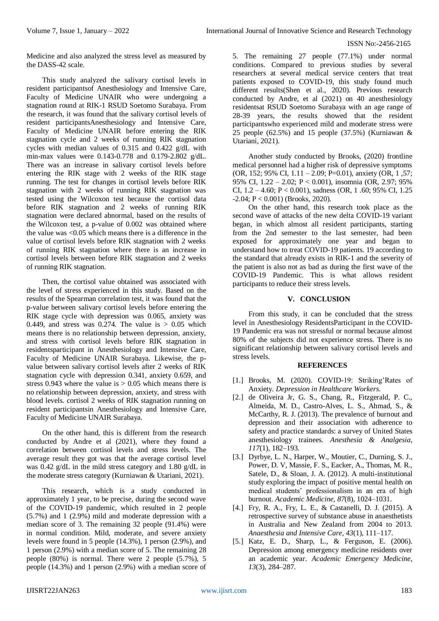Medicine and also analyzed the stress level as measured by the DASS-42 scale.

This study analyzed the salivary cortisol levels in resident participantsof Anesthesiology and Intensive Care, Faculty of Medicine UNAIR who were undergoing a stagnation round at RIK-1 RSUD Soetomo Surabaya. From the research, it was found that the salivary cortisol levels of resident participantsAnesthesiology and Intensive Care, Faculty of Medicine UNAIR before entering the RIK stagnation cycle and 2 weeks of running RIK stagnation cycles with median values of 0.315 and 0.422 g/dL with min-max values were 0.143-0.778 and 0.179-2.802 g/dL. There was an increase in salivary cortisol levels before entering the RIK stage with 2 weeks of the RIK stage running. The test for changes in cortisol levels before RIK stagnation with 2 weeks of running RIK stagnation was tested using the Wilcoxon test because the cortisol data before RIK stagnation and 2 weeks of running RIK stagnation were declared abnormal, based on the results of the Wilcoxon test, a p-value of 0.002 was obtained where the value was  $\leq 0.05$  which means there is a difference in the value of cortisol levels before RIK stagnation with 2 weeks of running RIK stagnation where there is an increase in cortisol levels between before RIK stagnation and 2 weeks of running RIK stagnation.

Then, the cortisol value obtained was associated with the level of stress experienced in this study. Based on the results of the Spearman correlation test, it was found that the p-value between salivary cortisol levels before entering the RIK stage cycle with depression was 0.065, anxiety was 0.449, and stress was 0.274. The value is  $> 0.05$  which means there is no relationship between depression, anxiety, and stress with cortisol levels before RIK stagnation in residentsparticipant in Anesthesiology and Intensive Care, Faculty of Medicine UNAIR Surabaya. Likewise, the pvalue between salivary cortisol levels after 2 weeks of RIK stagnation cycle with depression 0.341, anxiety 0.659, and stress 0.943 where the value is  $> 0.05$  which means there is no relationship between depression, anxiety, and stress with blood levels. cortisol 2 weeks of RIK stagnation running on resident participantsin Anesthesiology and Intensive Care, Faculty of Medicine UNAIR Surabaya.

On the other hand, this is different from the research conducted by Andre et al (2021), where they found a correlation between cortisol levels and stress levels. The average result they got was that the average cortisol level was 0.42 g/dL in the mild stress category and 1.80 g/dL in the moderate stress category (Kurniawan & Utariani, 2021).

This research, which is a study conducted in approximately 1 year, to be precise, during the second wave of the COVID-19 pandemic, which resulted in 2 people (5.7%) and 1 (2.9%) mild and moderate depression with a median score of 3. The remaining 32 people (91.4%) were in normal condition. Mild, moderate, and severe anxiety levels were found in 5 people (14.3%), 1 person (2.9%), and 1 person (2.9%) with a median score of 5. The remaining 28 people (80%) is normal. There were 2 people (5.7%), 5 people (14.3%) and 1 person (2.9%) with a median score of 5. The remaining 27 people (77.1%) under normal conditions. Compared to previous studies by several researchers at several medical service centers that treat patients exposed to COVID-19, this study found much different results(Shen et al., 2020). Previous research conducted by Andre, et al (2021) on 40 anesthesiology residentsat RSUD Soetomo Surabaya with an age range of 28-39 years, the results showed that the resident participantswho experienced mild and moderate stress were 25 people  $(62.5\%)$  and 15 people  $(37.5\%)$  (Kurniawan & Utariani, 2021).

Another study conducted by Brooks, (2020) frontline medical personnel had a higher risk of depressive symptoms (OR, 152; 95% CI, 1.11 – 2.09; P=0.01), anxiety (OR, 1 ,57; 95% CI, 1.22 – 2.02; P < 0.001), insomnia (OR, 2.97; 95% CI, 1.2 – 4.60; P < 0.001), sadness (OR, 1 .60; 95% CI, 1.25  $-2.04$ ; P < 0.001) (Brooks, 2020).

On the other hand, this research took place as the second wave of attacks of the new delta COVID-19 variant began, in which almost all resident participants, starting from the 2nd semester to the last semester, had been exposed for approximately one year and began to understand how to treat COVID-19 patients. 19 according to the standard that already exists in RIK-1 and the severity of the patient is also not as bad as during the first wave of the COVID-19 Pandemic. This is what allows resident participants to reduce their stress levels.

# **V. CONCLUSION**

From this study, it can be concluded that the stress level in Anesthesiology ResidentsParticipant in the COVID-19 Pandemic era was not stressful or normal because almost 80% of the subjects did not experience stress. There is no significant relationship between salivary cortisol levels and stress levels.

# **REFERENCES**

- [1.] Brooks, M. (2020). COVID-19: Striking'Rates of Anxiety. *Depression in Healthcare Workers*.
- [2.] de Oliveira Jr, G. S., Chang, R., Fitzgerald, P. C., Almeida, M. D., Castro-Alves, L. S., Ahmad, S., & McCarthy, R. J. (2013). The prevalence of burnout and depression and their association with adherence to safety and practice standards: a survey of United States anesthesiology trainees. *Anesthesia & Analgesia*, *117*(1), 182–193.
- [3.] Dyrbye, L. N., Harper, W., Moutier, C., Durning, S. J., Power, D. V, Massie, F. S., Eacker, A., Thomas, M. R., Satele, D., & Sloan, J. A. (2012). A multi-institutional study exploring the impact of positive mental health on medical students' professionalism in an era of high burnout. *Academic Medicine*, *87*(8), 1024–1031.
- [4.] Fry, R. A., Fry, L. E., & Castanelli, D. J. (2015). A retrospective survey of substance abuse in anaesthetists in Australia and New Zealand from 2004 to 2013. *Anaesthesia and Intensive Care*, *43*(1), 111–117.
- [5.] Katz, E. D., Sharp, L., & Ferguson, E. (2006). Depression among emergency medicine residents over an academic year. *Academic Emergency Medicine*, *13*(3), 284–287.